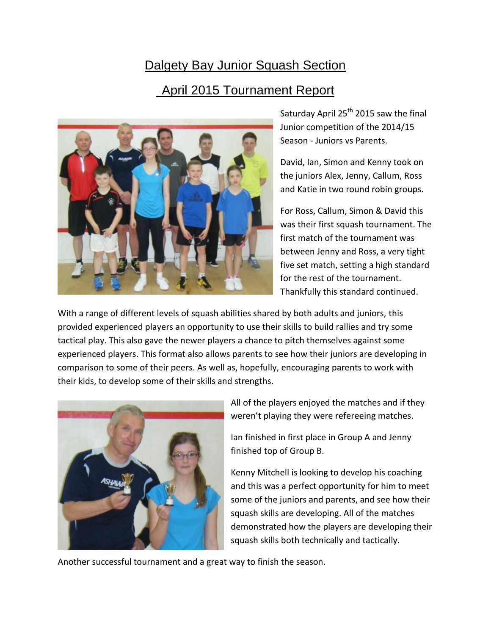## Dalgety Bay Junior Squash Section April 2015 Tournament Report



Saturday April  $25<sup>th</sup>$  2015 saw the final Junior competition of the 2014/15 Season - Juniors vs Parents.

David, Ian, Simon and Kenny took on the juniors Alex, Jenny, Callum, Ross and Katie in two round robin groups.

For Ross, Callum, Simon & David this was their first squash tournament. The first match of the tournament was between Jenny and Ross, a very tight five set match, setting a high standard for the rest of the tournament. Thankfully this standard continued.

With a range of different levels of squash abilities shared by both adults and juniors, this provided experienced players an opportunity to use their skills to build rallies and try some tactical play. This also gave the newer players a chance to pitch themselves against some experienced players. This format also allows parents to see how their juniors are developing in comparison to some of their peers. As well as, hopefully, encouraging parents to work with their kids, to develop some of their skills and strengths.



All of the players enjoyed the matches and if they weren't playing they were refereeing matches.

Ian finished in first place in Group A and Jenny finished top of Group B.

Kenny Mitchell is looking to develop his coaching and this was a perfect opportunity for him to meet some of the juniors and parents, and see how their squash skills are developing. All of the matches demonstrated how the players are developing their squash skills both technically and tactically.

Another successful tournament and a great way to finish the season.